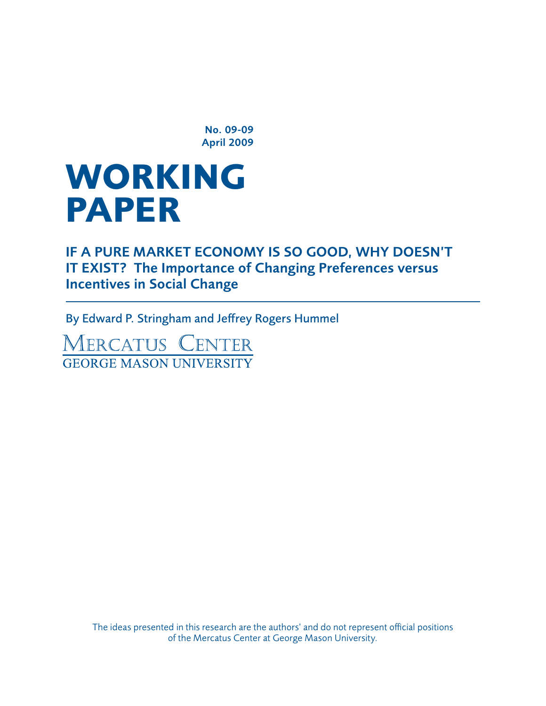No. 09-09 April 2009

# **working paper**

If a Pure Market Economy Is so Good, Why Doesn't IT EXIST? The Importance of Changing Preferences versus Incentives in Social Change

By Edward P. Stringham and Jeffrey Rogers Hummel

MERCATUS CENTER **GEORGE MASON UNIVERSITY** 

> The ideas presented in this research are the authors' and do not represent official positions of the Mercatus Center at George Mason University.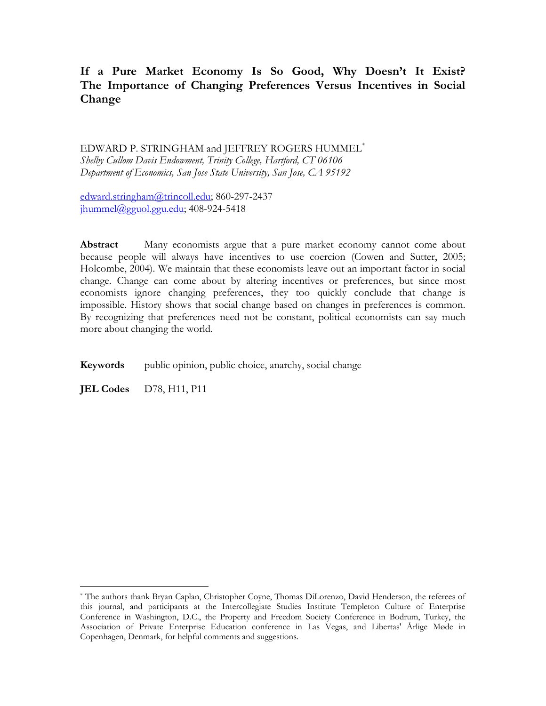# **If a Pure Market Economy Is So Good, Why Doesn't It Exist? The Importance of Changing Preferences Versus Incentives in Social Change**

EDWARD P. STRINGHAM and JEFFREY ROGERS HUMMEL[\\*](#page-1-0) *Shelby Cullom Davis Endowment, Trinity College, Hartford, CT 06106 Department of Economics, San Jose State University, San Jose, CA 95192* 

[edward.stringham@trincoll.edu](mailto:edward.stringham@trincoll.edu); 860-297-2437  $jhummel@gguol.ggu.edu; 408-924-5418$  $jhummel@gguol.ggu.edu; 408-924-5418$ 

Abstract Many economists argue that a pure market economy cannot come about because people will always have incentives to use coercion (Cowen and Sutter, 2005; Holcombe, 2004). We maintain that these economists leave out an important factor in social change. Change can come about by altering incentives or preferences, but since most economists ignore changing preferences, they too quickly conclude that change is impossible. History shows that social change based on changes in preferences is common. By recognizing that preferences need not be constant, political economists can say much more about changing the world.

**Keywords** public opinion, public choice, anarchy, social change

**JEL Codes** D78, H11, P11

<span id="page-1-0"></span><sup>\*</sup> The authors thank Bryan Caplan, Christopher Coyne, Thomas DiLorenzo, David Henderson, the referees of this journal, and participants at the Intercollegiate Studies Institute Templeton Culture of Enterprise Conference in Washington, D.C., the Property and Freedom Society Conference in Bodrum, Turkey, the Association of Private Enterprise Education conference in Las Vegas, and Libertas' Årlige Møde in Copenhagen, Denmark, for helpful comments and suggestions.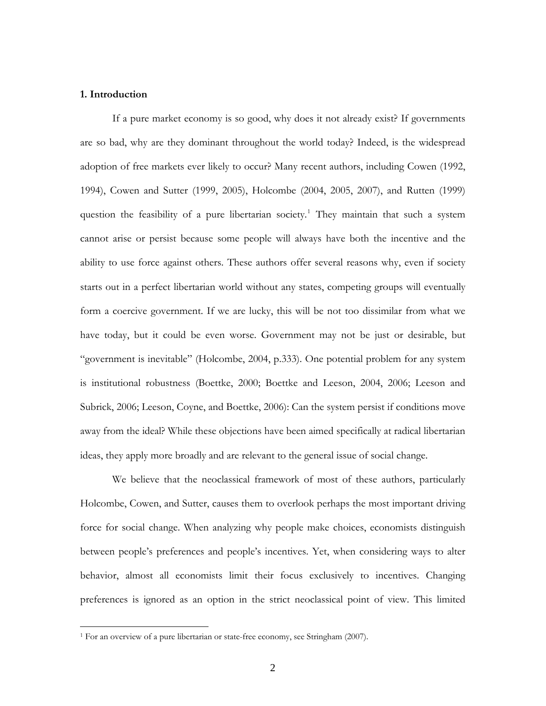#### **1. Introduction**

 $\overline{a}$ 

If a pure market economy is so good, why does it not already exist? If governments are so bad, why are they dominant throughout the world today? Indeed, is the widespread adoption of free markets ever likely to occur? Many recent authors, including Cowen (1992, 1994), Cowen and Sutter (1999, 2005), Holcombe (2004, 2005, 2007), and Rutten (1999) question the feasibility of a pure libertarian society.<sup>[1](#page-2-0)</sup> They maintain that such a system cannot arise or persist because some people will always have both the incentive and the ability to use force against others. These authors offer several reasons why, even if society starts out in a perfect libertarian world without any states, competing groups will eventually form a coercive government. If we are lucky, this will be not too dissimilar from what we have today, but it could be even worse. Government may not be just or desirable, but "government is inevitable" (Holcombe, 2004, p.333). One potential problem for any system is institutional robustness (Boettke, 2000; Boettke and Leeson, 2004, 2006; Leeson and Subrick, 2006; Leeson, Coyne, and Boettke, 2006): Can the system persist if conditions move away from the ideal? While these objections have been aimed specifically at radical libertarian ideas, they apply more broadly and are relevant to the general issue of social change.

We believe that the neoclassical framework of most of these authors, particularly Holcombe, Cowen, and Sutter, causes them to overlook perhaps the most important driving force for social change. When analyzing why people make choices, economists distinguish between people's preferences and people's incentives. Yet, when considering ways to alter behavior, almost all economists limit their focus exclusively to incentives. Changing preferences is ignored as an option in the strict neoclassical point of view. This limited

<span id="page-2-0"></span><sup>&</sup>lt;sup>1</sup> For an overview of a pure libertarian or state-free economy, see Stringham (2007).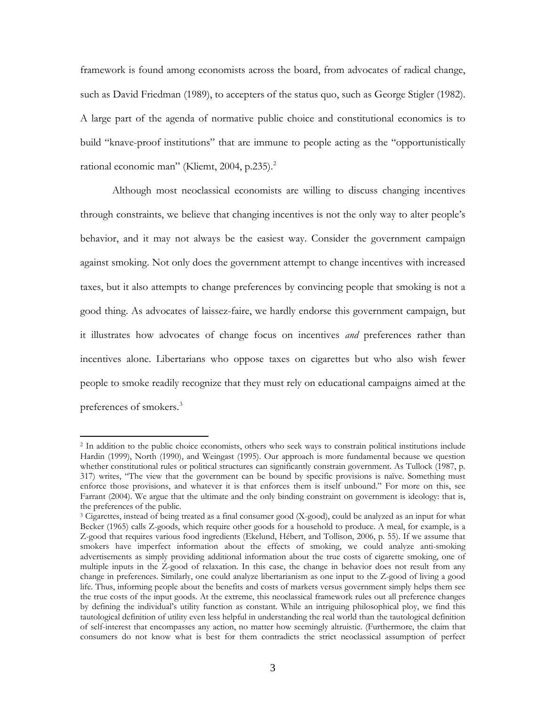framework is found among economists across the board, from advocates of radical change, such as David Friedman (1989), to accepters of the status quo, such as George Stigler (1982). A large part of the agenda of normative public choice and constitutional economics is to build "knave-proof institutions" that are immune to people acting as the "opportunistically rational economic man" (Kliemt, [2](#page-3-0)004, p.235).<sup>2</sup>

Although most neoclassical economists are willing to discuss changing incentives through constraints, we believe that changing incentives is not the only way to alter people's behavior, and it may not always be the easiest way. Consider the government campaign against smoking. Not only does the government attempt to change incentives with increased taxes, but it also attempts to change preferences by convincing people that smoking is not a good thing. As advocates of laissez-faire, we hardly endorse this government campaign, but it illustrates how advocates of change focus on incentives *and* preferences rather than incentives alone. Libertarians who oppose taxes on cigarettes but who also wish fewer people to smoke readily recognize that they must rely on educational campaigns aimed at the preferences of smokers.[3](#page-3-1)

<span id="page-3-0"></span><sup>&</sup>lt;sup>2</sup> In addition to the public choice economists, others who seek ways to constrain political institutions include Hardin (1999), North (1990), and Weingast (1995). Our approach is more fundamental because we question whether constitutional rules or political structures can significantly constrain government. As Tullock (1987, p. 317) writes, "The view that the government can be bound by specific provisions is naïve. Something must enforce those provisions, and whatever it is that enforces them is itself unbound." For more on this, see Farrant (2004). We argue that the ultimate and the only binding constraint on government is ideology: that is, the preferences of the public.

<span id="page-3-1"></span><sup>&</sup>lt;sup>3</sup> Cigarettes, instead of being treated as a final consumer good (X-good), could be analyzed as an input for what Becker (1965) calls Z-goods, which require other goods for a household to produce. A meal, for example, is a Z-good that requires various food ingredients (Ekelund, Hébert, and Tollison, 2006, p. 55). If we assume that smokers have imperfect information about the effects of smoking, we could analyze anti-smoking advertisements as simply providing additional information about the true costs of cigarette smoking, one of multiple inputs in the Z-good of relaxation. In this case, the change in behavior does not result from any change in preferences. Similarly, one could analyze libertarianism as one input to the Z-good of living a good life. Thus, informing people about the benefits and costs of markets versus government simply helps them see the true costs of the input goods. At the extreme, this neoclassical framework rules out all preference changes by defining the individual's utility function as constant. While an intriguing philosophical ploy, we find this tautological definition of utility even less helpful in understanding the real world than the tautological definition of self-interest that encompasses any action, no matter how seemingly altruistic. (Furthermore, the claim that consumers do not know what is best for them contradicts the strict neoclassical assumption of perfect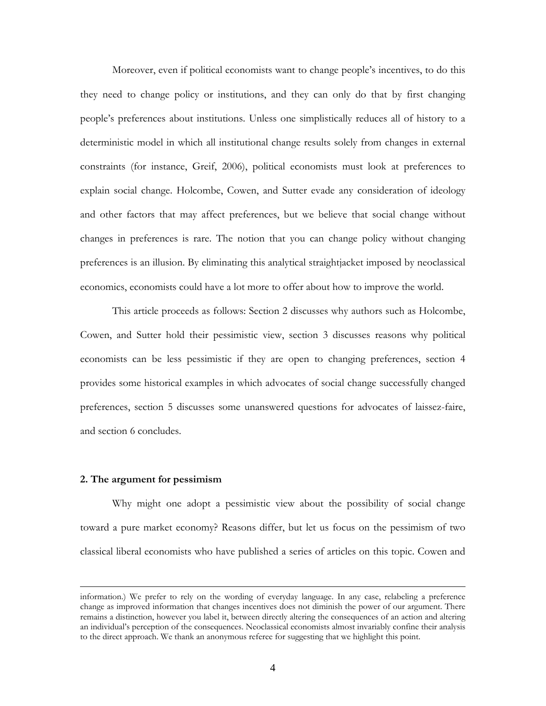Moreover, even if political economists want to change people's incentives, to do this they need to change policy or institutions, and they can only do that by first changing people's preferences about institutions. Unless one simplistically reduces all of history to a deterministic model in which all institutional change results solely from changes in external constraints (for instance, Greif, 2006), political economists must look at preferences to explain social change. Holcombe, Cowen, and Sutter evade any consideration of ideology and other factors that may affect preferences, but we believe that social change without changes in preferences is rare. The notion that you can change policy without changing preferences is an illusion. By eliminating this analytical straightjacket imposed by neoclassical economics, economists could have a lot more to offer about how to improve the world.

This article proceeds as follows: Section 2 discusses why authors such as Holcombe, Cowen, and Sutter hold their pessimistic view, section 3 discusses reasons why political economists can be less pessimistic if they are open to changing preferences, section 4 provides some historical examples in which advocates of social change successfully changed preferences, section 5 discusses some unanswered questions for advocates of laissez-faire, and section 6 concludes.

#### **2. The argument for pessimism**

 $\overline{a}$ 

Why might one adopt a pessimistic view about the possibility of social change toward a pure market economy? Reasons differ, but let us focus on the pessimism of two classical liberal economists who have published a series of articles on this topic. Cowen and

information.) We prefer to rely on the wording of everyday language. In any case, relabeling a preference change as improved information that changes incentives does not diminish the power of our argument. There remains a distinction, however you label it, between directly altering the consequences of an action and altering an individual's perception of the consequences. Neoclassical economists almost invariably confine their analysis to the direct approach. We thank an anonymous referee for suggesting that we highlight this point.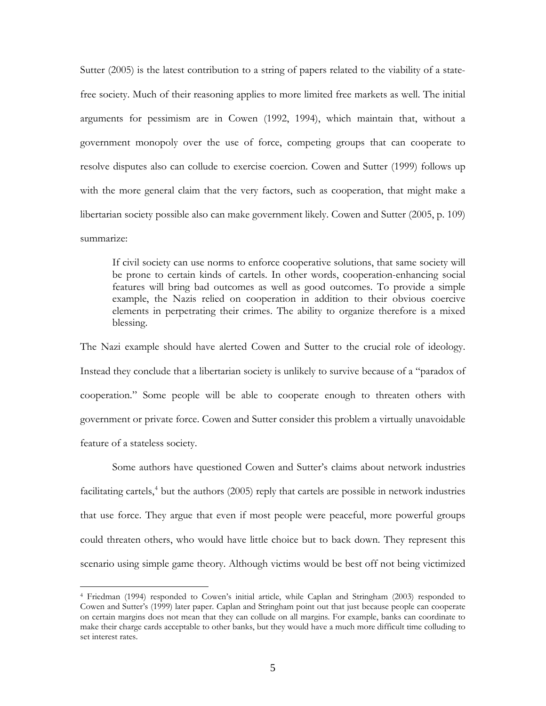Sutter (2005) is the latest contribution to a string of papers related to the viability of a statefree society. Much of their reasoning applies to more limited free markets as well. The initial arguments for pessimism are in Cowen (1992, 1994), which maintain that, without a government monopoly over the use of force, competing groups that can cooperate to resolve disputes also can collude to exercise coercion. Cowen and Sutter (1999) follows up with the more general claim that the very factors, such as cooperation, that might make a libertarian society possible also can make government likely. Cowen and Sutter (2005, p. 109) summarize:

If civil society can use norms to enforce cooperative solutions, that same society will be prone to certain kinds of cartels. In other words, cooperation-enhancing social features will bring bad outcomes as well as good outcomes. To provide a simple example, the Nazis relied on cooperation in addition to their obvious coercive elements in perpetrating their crimes. The ability to organize therefore is a mixed blessing.

The Nazi example should have alerted Cowen and Sutter to the crucial role of ideology. Instead they conclude that a libertarian society is unlikely to survive because of a "paradox of cooperation." Some people will be able to cooperate enough to threaten others with government or private force. Cowen and Sutter consider this problem a virtually unavoidable feature of a stateless society.

Some authors have questioned Cowen and Sutter's claims about network industries facilitating cartels,<sup>[4](#page-5-0)</sup> but the authors (2005) reply that cartels are possible in network industries that use force. They argue that even if most people were peaceful, more powerful groups could threaten others, who would have little choice but to back down. They represent this scenario using simple game theory. Although victims would be best off not being victimized

<span id="page-5-0"></span><sup>4</sup> Friedman (1994) responded to Cowen's initial article, while Caplan and Stringham (2003) responded to Cowen and Sutter's (1999) later paper. Caplan and Stringham point out that just because people can cooperate on certain margins does not mean that they can collude on all margins. For example, banks can coordinate to make their charge cards acceptable to other banks, but they would have a much more difficult time colluding to set interest rates.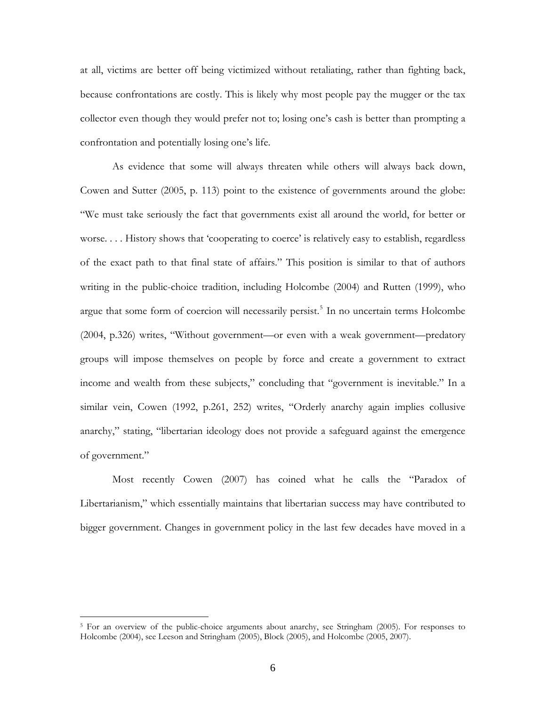at all, victims are better off being victimized without retaliating, rather than fighting back, because confrontations are costly. This is likely why most people pay the mugger or the tax collector even though they would prefer not to; losing one's cash is better than prompting a confrontation and potentially losing one's life.

As evidence that some will always threaten while others will always back down, Cowen and Sutter (2005, p. 113) point to the existence of governments around the globe: "We must take seriously the fact that governments exist all around the world, for better or worse.... History shows that 'cooperating to coerce' is relatively easy to establish, regardless of the exact path to that final state of affairs." This position is similar to that of authors writing in the public-choice tradition, including Holcombe (2004) and Rutten (1999), who argue that some form of coercion will necessarily persist.<sup>[5](#page-6-0)</sup> In no uncertain terms Holcombe (2004, p.326) writes, "Without government—or even with a weak government—predatory groups will impose themselves on people by force and create a government to extract income and wealth from these subjects," concluding that "government is inevitable." In a similar vein, Cowen (1992, p.261, 252) writes, "Orderly anarchy again implies collusive anarchy," stating, "libertarian ideology does not provide a safeguard against the emergence of government."

Most recently Cowen (2007) has coined what he calls the "Paradox of Libertarianism," which essentially maintains that libertarian success may have contributed to bigger government. Changes in government policy in the last few decades have moved in a

<span id="page-6-0"></span><sup>&</sup>lt;sup>5</sup> For an overview of the public-choice arguments about anarchy, see Stringham (2005). For responses to Holcombe (2004), see Leeson and Stringham (2005), Block (2005), and Holcombe (2005, 2007).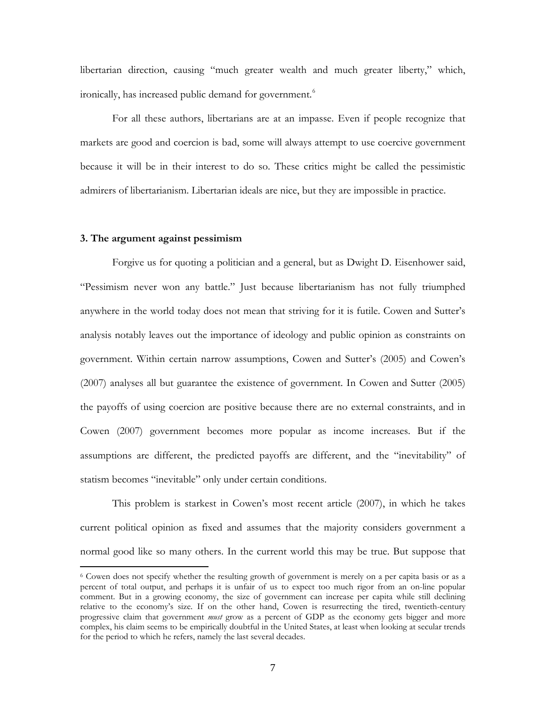libertarian direction, causing "much greater wealth and much greater liberty," which, ironically, has increased public demand for government.<sup>[6](#page-7-0)</sup>

For all these authors, libertarians are at an impasse. Even if people recognize that markets are good and coercion is bad, some will always attempt to use coercive government because it will be in their interest to do so. These critics might be called the pessimistic admirers of libertarianism. Libertarian ideals are nice, but they are impossible in practice.

### **3. The argument against pessimism**

 $\overline{a}$ 

 Forgive us for quoting a politician and a general, but as Dwight D. Eisenhower said, "Pessimism never won any battle." Just because libertarianism has not fully triumphed anywhere in the world today does not mean that striving for it is futile. Cowen and Sutter's analysis notably leaves out the importance of ideology and public opinion as constraints on government. Within certain narrow assumptions, Cowen and Sutter's (2005) and Cowen's (2007) analyses all but guarantee the existence of government. In Cowen and Sutter (2005) the payoffs of using coercion are positive because there are no external constraints, and in Cowen (2007) government becomes more popular as income increases. But if the assumptions are different, the predicted payoffs are different, and the "inevitability" of statism becomes "inevitable" only under certain conditions.

 This problem is starkest in Cowen's most recent article (2007), in which he takes current political opinion as fixed and assumes that the majority considers government a normal good like so many others. In the current world this may be true. But suppose that

<span id="page-7-0"></span><sup>6</sup> Cowen does not specify whether the resulting growth of government is merely on a per capita basis or as a percent of total output, and perhaps it is unfair of us to expect too much rigor from an on-line popular comment. But in a growing economy, the size of government can increase per capita while still declining relative to the economy's size. If on the other hand, Cowen is resurrecting the tired, twentieth-century progressive claim that government *must* grow as a percent of GDP as the economy gets bigger and more complex, his claim seems to be empirically doubtful in the United States, at least when looking at secular trends for the period to which he refers, namely the last several decades.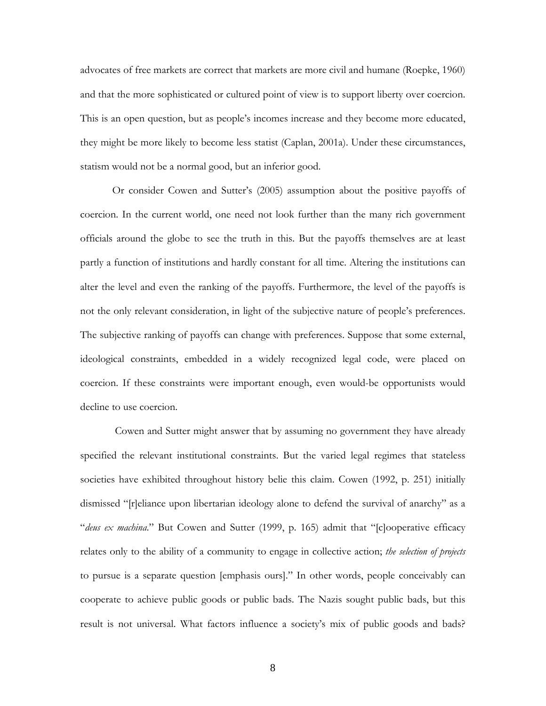advocates of free markets are correct that markets are more civil and humane (Roepke, 1960) and that the more sophisticated or cultured point of view is to support liberty over coercion. This is an open question, but as people's incomes increase and they become more educated, they might be more likely to become less statist (Caplan, 2001a). Under these circumstances, statism would not be a normal good, but an inferior good.

 Or consider Cowen and Sutter's (2005) assumption about the positive payoffs of coercion. In the current world, one need not look further than the many rich government officials around the globe to see the truth in this. But the payoffs themselves are at least partly a function of institutions and hardly constant for all time. Altering the institutions can alter the level and even the ranking of the payoffs. Furthermore, the level of the payoffs is not the only relevant consideration, in light of the subjective nature of people's preferences. The subjective ranking of payoffs can change with preferences. Suppose that some external, ideological constraints, embedded in a widely recognized legal code, were placed on coercion. If these constraints were important enough, even would-be opportunists would decline to use coercion.

 Cowen and Sutter might answer that by assuming no government they have already specified the relevant institutional constraints. But the varied legal regimes that stateless societies have exhibited throughout history belie this claim. Cowen (1992, p. 251) initially dismissed "[r]eliance upon libertarian ideology alone to defend the survival of anarchy" as a "*deus ex machina*." But Cowen and Sutter (1999, p. 165) admit that "[c]ooperative efficacy relates only to the ability of a community to engage in collective action; *the selection of projects* to pursue is a separate question [emphasis ours]." In other words, people conceivably can cooperate to achieve public goods or public bads. The Nazis sought public bads, but this result is not universal. What factors influence a society's mix of public goods and bads?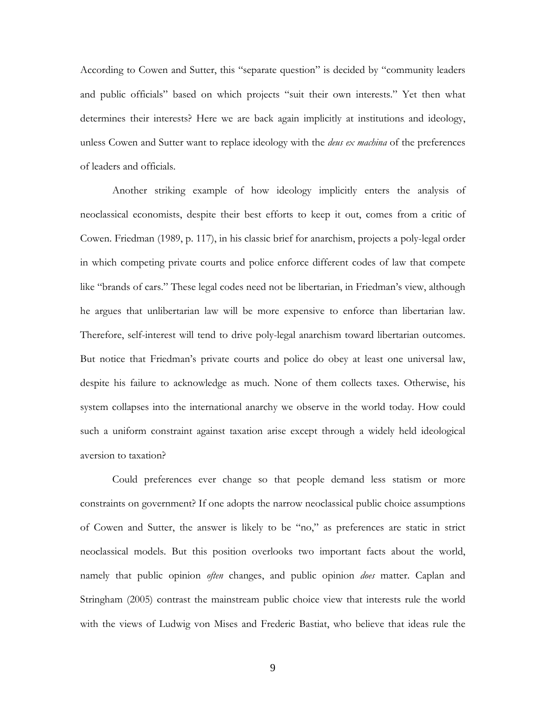According to Cowen and Sutter, this "separate question" is decided by "community leaders and public officials" based on which projects "suit their own interests." Yet then what determines their interests? Here we are back again implicitly at institutions and ideology, unless Cowen and Sutter want to replace ideology with the *deus ex machina* of the preferences of leaders and officials.

Another striking example of how ideology implicitly enters the analysis of neoclassical economists, despite their best efforts to keep it out, comes from a critic of Cowen. Friedman (1989, p. 117), in his classic brief for anarchism, projects a poly-legal order in which competing private courts and police enforce different codes of law that compete like "brands of cars." These legal codes need not be libertarian, in Friedman's view, although he argues that unlibertarian law will be more expensive to enforce than libertarian law. Therefore, self-interest will tend to drive poly-legal anarchism toward libertarian outcomes. But notice that Friedman's private courts and police do obey at least one universal law, despite his failure to acknowledge as much. None of them collects taxes. Otherwise, his system collapses into the international anarchy we observe in the world today. How could such a uniform constraint against taxation arise except through a widely held ideological aversion to taxation?

Could preferences ever change so that people demand less statism or more constraints on government? If one adopts the narrow neoclassical public choice assumptions of Cowen and Sutter, the answer is likely to be "no," as preferences are static in strict neoclassical models. But this position overlooks two important facts about the world, namely that public opinion *often* changes, and public opinion *does* matter. Caplan and Stringham (2005) contrast the mainstream public choice view that interests rule the world with the views of Ludwig von Mises and Frederic Bastiat, who believe that ideas rule the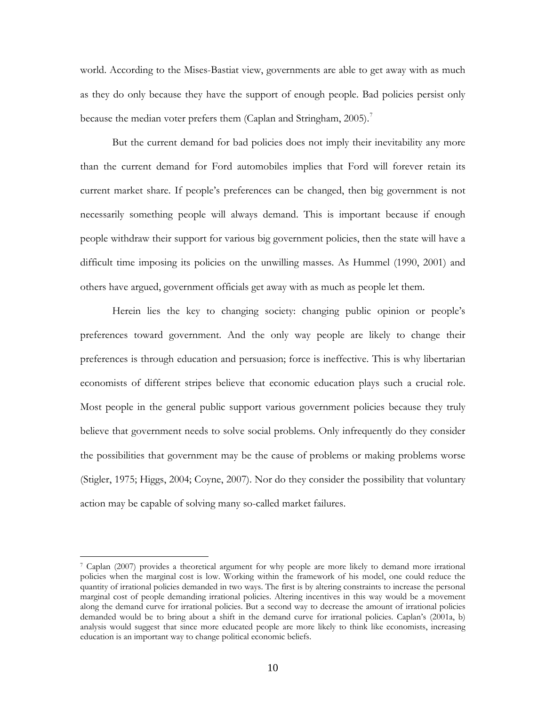world. According to the Mises-Bastiat view, governments are able to get away with as much as they do only because they have the support of enough people. Bad policies persist only because the median voter prefers them (Caplan and Stringham, 2005).<sup>[7](#page-10-0)</sup>

But the current demand for bad policies does not imply their inevitability any more than the current demand for Ford automobiles implies that Ford will forever retain its current market share. If people's preferences can be changed, then big government is not necessarily something people will always demand. This is important because if enough people withdraw their support for various big government policies, then the state will have a difficult time imposing its policies on the unwilling masses. As Hummel (1990, 2001) and others have argued, government officials get away with as much as people let them.

Herein lies the key to changing society: changing public opinion or people's preferences toward government. And the only way people are likely to change their preferences is through education and persuasion; force is ineffective. This is why libertarian economists of different stripes believe that economic education plays such a crucial role. Most people in the general public support various government policies because they truly believe that government needs to solve social problems. Only infrequently do they consider the possibilities that government may be the cause of problems or making problems worse (Stigler, 1975; Higgs, 2004; Coyne, 2007). Nor do they consider the possibility that voluntary action may be capable of solving many so-called market failures.

<span id="page-10-0"></span><sup>7</sup> Caplan (2007) provides a theoretical argument for why people are more likely to demand more irrational policies when the marginal cost is low. Working within the framework of his model, one could reduce the quantity of irrational policies demanded in two ways. The first is by altering constraints to increase the personal marginal cost of people demanding irrational policies. Altering incentives in this way would be a movement along the demand curve for irrational policies. But a second way to decrease the amount of irrational policies demanded would be to bring about a shift in the demand curve for irrational policies. Caplan's (2001a, b) analysis would suggest that since more educated people are more likely to think like economists, increasing education is an important way to change political economic beliefs.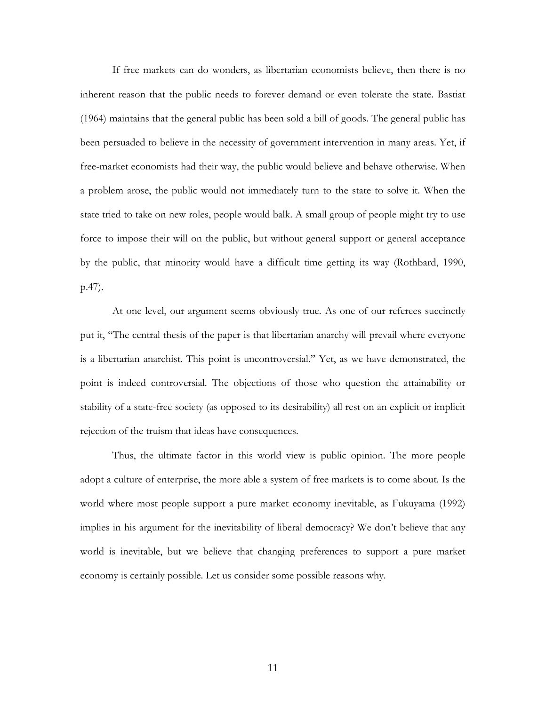If free markets can do wonders, as libertarian economists believe, then there is no inherent reason that the public needs to forever demand or even tolerate the state. Bastiat (1964) maintains that the general public has been sold a bill of goods. The general public has been persuaded to believe in the necessity of government intervention in many areas. Yet, if free-market economists had their way, the public would believe and behave otherwise. When a problem arose, the public would not immediately turn to the state to solve it. When the state tried to take on new roles, people would balk. A small group of people might try to use force to impose their will on the public, but without general support or general acceptance by the public, that minority would have a difficult time getting its way (Rothbard, 1990, p.47).

At one level, our argument seems obviously true. As one of our referees succinctly put it, "The central thesis of the paper is that libertarian anarchy will prevail where everyone is a libertarian anarchist. This point is uncontroversial." Yet, as we have demonstrated, the point is indeed controversial. The objections of those who question the attainability or stability of a state-free society (as opposed to its desirability) all rest on an explicit or implicit rejection of the truism that ideas have consequences.

Thus, the ultimate factor in this world view is public opinion. The more people adopt a culture of enterprise, the more able a system of free markets is to come about. Is the world where most people support a pure market economy inevitable, as Fukuyama (1992) implies in his argument for the inevitability of liberal democracy? We don't believe that any world is inevitable, but we believe that changing preferences to support a pure market economy is certainly possible. Let us consider some possible reasons why.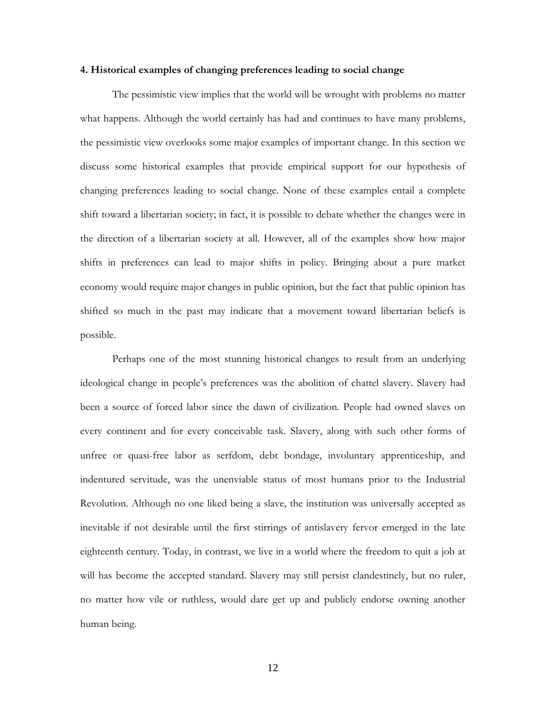#### **4. Historical examples of changing preferences leading to social change**

The pessimistic view implies that the world will be wrought with problems no matter what happens. Although the world certainly has had and continues to have many problems, the pessimistic view overlooks some major examples of important change. In this section we discuss some historical examples that provide empirical support for our hypothesis of changing preferences leading to social change. None of these examples entail a complete shift toward a libertarian society; in fact, it is possible to debate whether the changes were in the direction of a libertarian society at all. However, all of the examples show how major shifts in preferences can lead to major shifts in policy. Bringing about a pure market economy would require major changes in public opinion, but the fact that public opinion has shifted so much in the past may indicate that a movement toward libertarian beliefs is possible.

Perhaps one of the most stunning historical changes to result from an underlying ideological change in people's preferences was the abolition of chattel slavery. Slavery had been a source of forced labor since the dawn of civilization. People had owned slaves on every continent and for every conceivable task. Slavery, along with such other forms of unfree or quasi-free labor as serfdom, debt bondage, involuntary apprenticeship, and indentured servitude, was the unenviable status of most humans prior to the Industrial Revolution. Although no one liked being a slave, the institution was universally accepted as inevitable if not desirable until the first stirrings of antislavery fervor emerged in the late eighteenth century. Today, in contrast, we live in a world where the freedom to quit a job at will has become the accepted standard. Slavery may still persist clandestinely, but no ruler, no matter how vile or ruthless, would dare get up and publicly endorse owning another human being.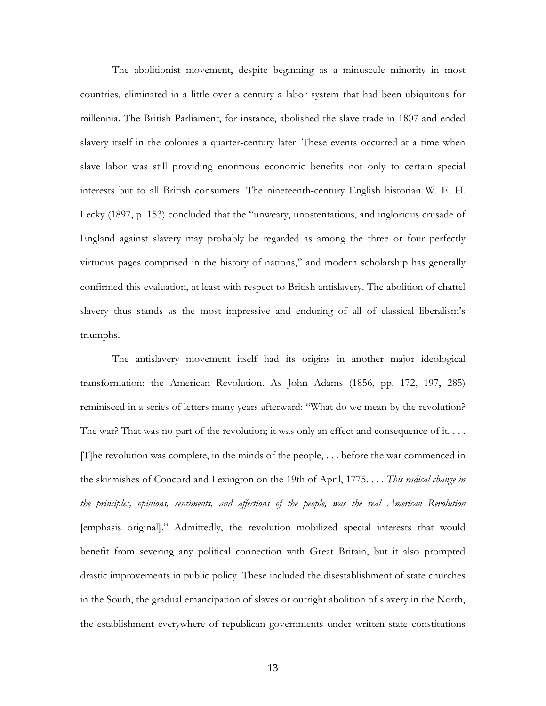The abolitionist movement, despite beginning as a minuscule minority in most countries, eliminated in a little over a century a labor system that had been ubiquitous for millennia. The British Parliament, for instance, abolished the slave trade in 1807 and ended slavery itself in the colonies a quarter-century later. These events occurred at a time when slave labor was still providing enormous economic benefits not only to certain special interests but to all British consumers. The nineteenth-century English historian W. E. H. Lecky (1897, p. 153) concluded that the "unweary, unostentatious, and inglorious crusade of England against slavery may probably be regarded as among the three or four perfectly virtuous pages comprised in the history of nations," and modern scholarship has generally confirmed this evaluation, at least with respect to British antislavery. The abolition of chattel slavery thus stands as the most impressive and enduring of all of classical liberalism's triumphs.

The antislavery movement itself had its origins in another major ideological transformation: the American Revolution. As John Adams (1856, pp. 172, 197, 285) reminisced in a series of letters many years afterward: "What do we mean by the revolution? The war? That was no part of the revolution; it was only an effect and consequence of it.... [T]he revolution was complete, in the minds of the people, . . . before the war commenced in the skirmishes of Concord and Lexington on the 19th of April, 1775. . . . *This radical change in the principles, opinions, sentiments, and affections of the people, was the real American Revolution* [emphasis original]." Admittedly, the revolution mobilized special interests that would benefit from severing any political connection with Great Britain, but it also prompted drastic improvements in public policy. These included the disestablishment of state churches in the South, the gradual emancipation of slaves or outright abolition of slavery in the North, the establishment everywhere of republican governments under written state constitutions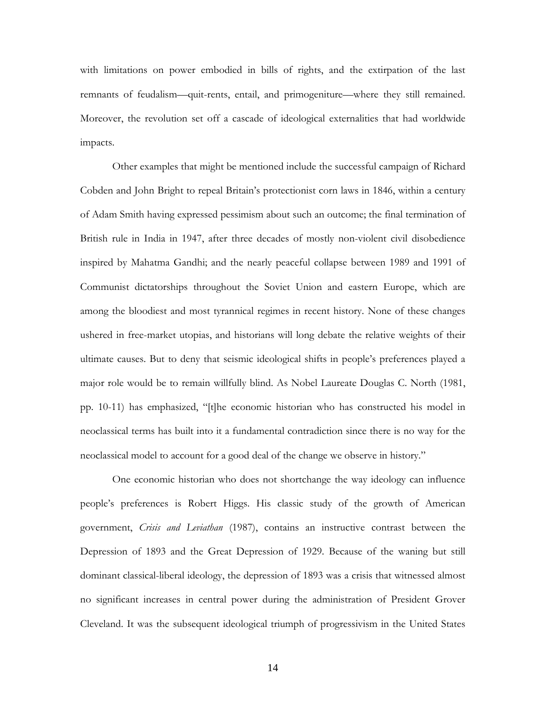with limitations on power embodied in bills of rights, and the extirpation of the last remnants of feudalism—quit-rents, entail, and primogeniture—where they still remained. Moreover, the revolution set off a cascade of ideological externalities that had worldwide impacts.

Other examples that might be mentioned include the successful campaign of Richard Cobden and John Bright to repeal Britain's protectionist corn laws in 1846, within a century of Adam Smith having expressed pessimism about such an outcome; the final termination of British rule in India in 1947, after three decades of mostly non-violent civil disobedience inspired by Mahatma Gandhi; and the nearly peaceful collapse between 1989 and 1991 of Communist dictatorships throughout the Soviet Union and eastern Europe, which are among the bloodiest and most tyrannical regimes in recent history. None of these changes ushered in free-market utopias, and historians will long debate the relative weights of their ultimate causes. But to deny that seismic ideological shifts in people's preferences played a major role would be to remain willfully blind. As Nobel Laureate Douglas C. North (1981, pp. 10-11) has emphasized, "[t]he economic historian who has constructed his model in neoclassical terms has built into it a fundamental contradiction since there is no way for the neoclassical model to account for a good deal of the change we observe in history."

One economic historian who does not shortchange the way ideology can influence people's preferences is Robert Higgs. His classic study of the growth of American government, *Crisis and Leviathan* (1987), contains an instructive contrast between the Depression of 1893 and the Great Depression of 1929. Because of the waning but still dominant classical-liberal ideology, the depression of 1893 was a crisis that witnessed almost no significant increases in central power during the administration of President Grover Cleveland. It was the subsequent ideological triumph of progressivism in the United States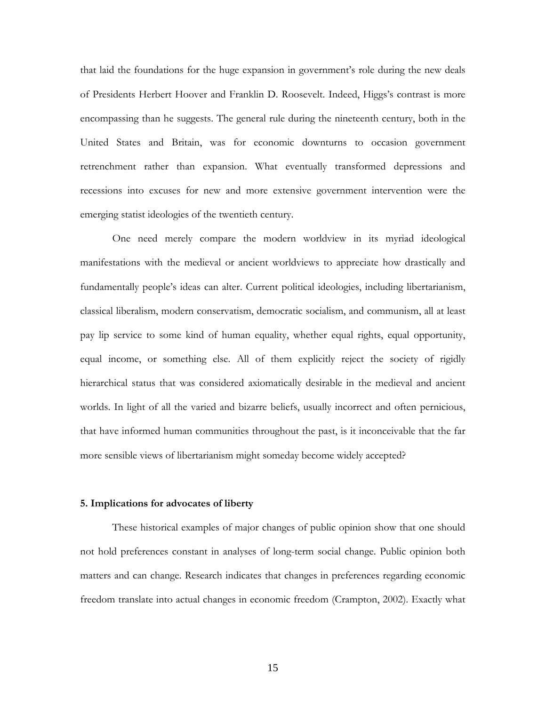that laid the foundations for the huge expansion in government's role during the new deals of Presidents Herbert Hoover and Franklin D. Roosevelt. Indeed, Higgs's contrast is more encompassing than he suggests. The general rule during the nineteenth century, both in the United States and Britain, was for economic downturns to occasion government retrenchment rather than expansion. What eventually transformed depressions and recessions into excuses for new and more extensive government intervention were the emerging statist ideologies of the twentieth century.

One need merely compare the modern worldview in its myriad ideological manifestations with the medieval or ancient worldviews to appreciate how drastically and fundamentally people's ideas can alter. Current political ideologies, including libertarianism, classical liberalism, modern conservatism, democratic socialism, and communism, all at least pay lip service to some kind of human equality, whether equal rights, equal opportunity, equal income, or something else. All of them explicitly reject the society of rigidly hierarchical status that was considered axiomatically desirable in the medieval and ancient worlds. In light of all the varied and bizarre beliefs, usually incorrect and often pernicious, that have informed human communities throughout the past, is it inconceivable that the far more sensible views of libertarianism might someday become widely accepted?

### **5. Implications for advocates of liberty**

 These historical examples of major changes of public opinion show that one should not hold preferences constant in analyses of long-term social change. Public opinion both matters and can change. Research indicates that changes in preferences regarding economic freedom translate into actual changes in economic freedom (Crampton, 2002). Exactly what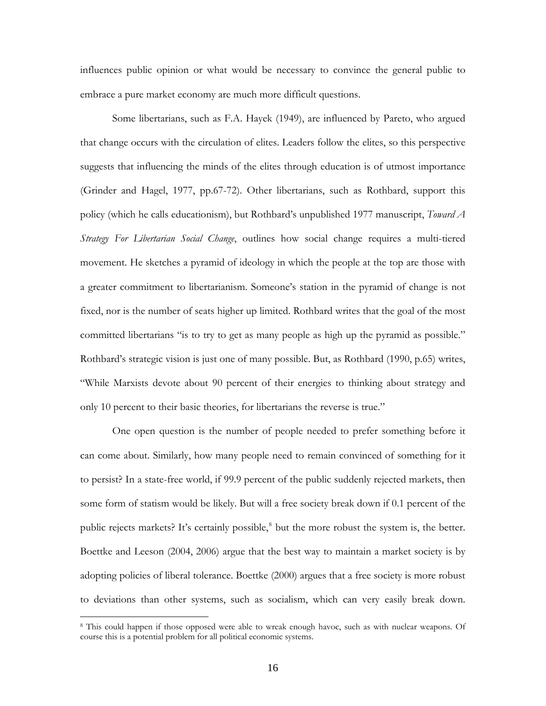influences public opinion or what would be necessary to convince the general public to embrace a pure market economy are much more difficult questions.

 Some libertarians, such as F.A. Hayek (1949), are influenced by Pareto, who argued that change occurs with the circulation of elites. Leaders follow the elites, so this perspective suggests that influencing the minds of the elites through education is of utmost importance (Grinder and Hagel, 1977, pp.67-72). Other libertarians, such as Rothbard, support this policy (which he calls educationism), but Rothbard's unpublished 1977 manuscript, *Toward A Strategy For Libertarian Social Change*, outlines how social change requires a multi-tiered movement. He sketches a pyramid of ideology in which the people at the top are those with a greater commitment to libertarianism. Someone's station in the pyramid of change is not fixed, nor is the number of seats higher up limited. Rothbard writes that the goal of the most committed libertarians "is to try to get as many people as high up the pyramid as possible." Rothbard's strategic vision is just one of many possible. But, as Rothbard (1990, p.65) writes, "While Marxists devote about 90 percent of their energies to thinking about strategy and only 10 percent to their basic theories, for libertarians the reverse is true."

One open question is the number of people needed to prefer something before it can come about. Similarly, how many people need to remain convinced of something for it to persist? In a state-free world, if 99.9 percent of the public suddenly rejected markets, then some form of statism would be likely. But will a free society break down if 0.1 percent of the public rejects markets? It's certainly possible,<sup>[8](#page-16-0)</sup> but the more robust the system is, the better. Boettke and Leeson (2004, 2006) argue that the best way to maintain a market society is by adopting policies of liberal tolerance. Boettke (2000) argues that a free society is more robust to deviations than other systems, such as socialism, which can very easily break down.

<span id="page-16-0"></span><sup>8</sup> This could happen if those opposed were able to wreak enough havoc, such as with nuclear weapons. Of course this is a potential problem for all political economic systems.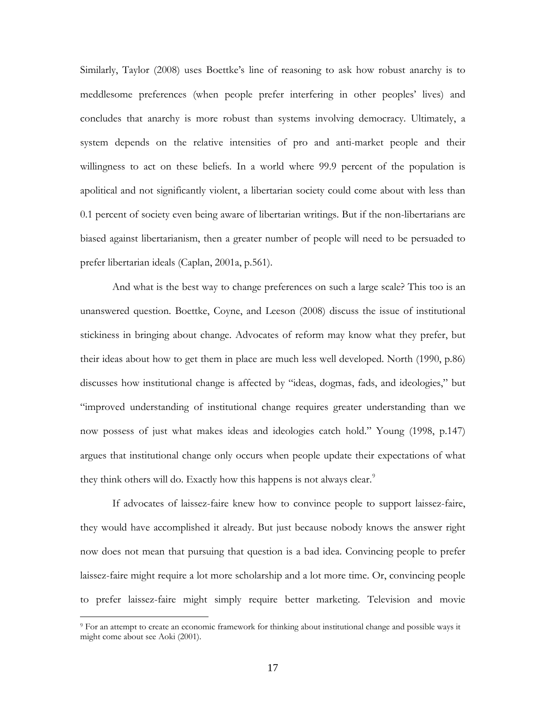Similarly, Taylor (2008) uses Boettke's line of reasoning to ask how robust anarchy is to meddlesome preferences (when people prefer interfering in other peoples' lives) and concludes that anarchy is more robust than systems involving democracy. Ultimately, a system depends on the relative intensities of pro and anti-market people and their willingness to act on these beliefs. In a world where 99.9 percent of the population is apolitical and not significantly violent, a libertarian society could come about with less than 0.1 percent of society even being aware of libertarian writings. But if the non-libertarians are biased against libertarianism, then a greater number of people will need to be persuaded to prefer libertarian ideals (Caplan, 2001a, p.561).

And what is the best way to change preferences on such a large scale? This too is an unanswered question. Boettke, Coyne, and Leeson (2008) discuss the issue of institutional stickiness in bringing about change. Advocates of reform may know what they prefer, but their ideas about how to get them in place are much less well developed. North (1990, p.86) discusses how institutional change is affected by "ideas, dogmas, fads, and ideologies," but "improved understanding of institutional change requires greater understanding than we now possess of just what makes ideas and ideologies catch hold." Young (1998, p.147) argues that institutional change only occurs when people update their expectations of what they think others will do. Exactly how this happens is not always clear.<sup>[9](#page-17-0)</sup>

If advocates of laissez-faire knew how to convince people to support laissez-faire, they would have accomplished it already. But just because nobody knows the answer right now does not mean that pursuing that question is a bad idea. Convincing people to prefer laissez-faire might require a lot more scholarship and a lot more time. Or, convincing people to prefer laissez-faire might simply require better marketing. Television and movie

<span id="page-17-0"></span><sup>9</sup> For an attempt to create an economic framework for thinking about institutional change and possible ways it might come about see Aoki (2001).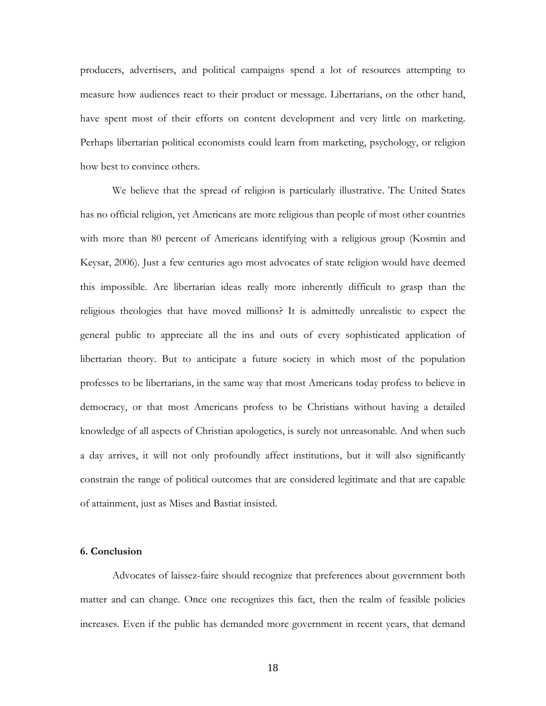producers, advertisers, and political campaigns spend a lot of resources attempting to measure how audiences react to their product or message. Libertarians, on the other hand, have spent most of their efforts on content development and very little on marketing. Perhaps libertarian political economists could learn from marketing, psychology, or religion how best to convince others.

We believe that the spread of religion is particularly illustrative. The United States has no official religion, yet Americans are more religious than people of most other countries with more than 80 percent of Americans identifying with a religious group (Kosmin and Keysar, 2006). Just a few centuries ago most advocates of state religion would have deemed this impossible. Are libertarian ideas really more inherently difficult to grasp than the religious theologies that have moved millions? It is admittedly unrealistic to expect the general public to appreciate all the ins and outs of every sophisticated application of libertarian theory. But to anticipate a future society in which most of the population professes to be libertarians, in the same way that most Americans today profess to believe in democracy, or that most Americans profess to be Christians without having a detailed knowledge of all aspects of Christian apologetics, is surely not unreasonable. And when such a day arrives, it will not only profoundly affect institutions, but it will also significantly constrain the range of political outcomes that are considered legitimate and that are capable of attainment, just as Mises and Bastiat insisted.

## **6. Conclusion**

 Advocates of laissez-faire should recognize that preferences about government both matter and can change. Once one recognizes this fact, then the realm of feasible policies increases. Even if the public has demanded more government in recent years, that demand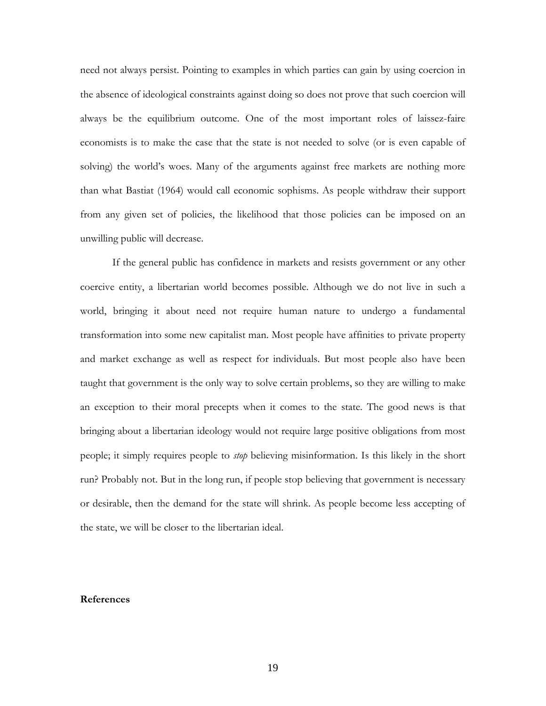need not always persist. Pointing to examples in which parties can gain by using coercion in the absence of ideological constraints against doing so does not prove that such coercion will always be the equilibrium outcome. One of the most important roles of laissez-faire economists is to make the case that the state is not needed to solve (or is even capable of solving) the world's woes. Many of the arguments against free markets are nothing more than what Bastiat (1964) would call economic sophisms. As people withdraw their support from any given set of policies, the likelihood that those policies can be imposed on an unwilling public will decrease.

If the general public has confidence in markets and resists government or any other coercive entity, a libertarian world becomes possible. Although we do not live in such a world, bringing it about need not require human nature to undergo a fundamental transformation into some new capitalist man. Most people have affinities to private property and market exchange as well as respect for individuals. But most people also have been taught that government is the only way to solve certain problems, so they are willing to make an exception to their moral precepts when it comes to the state. The good news is that bringing about a libertarian ideology would not require large positive obligations from most people; it simply requires people to *stop* believing misinformation. Is this likely in the short run? Probably not. But in the long run, if people stop believing that government is necessary or desirable, then the demand for the state will shrink. As people become less accepting of the state, we will be closer to the libertarian ideal.

#### **References**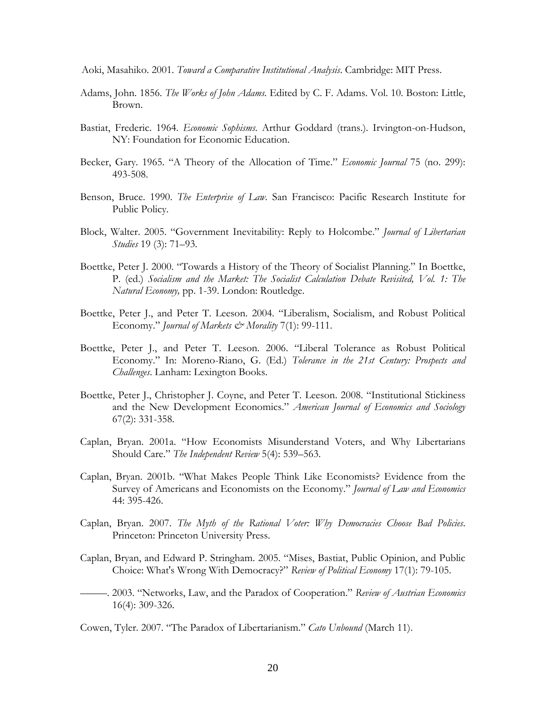Aoki, Masahiko. 2001. *Toward a Comparative Institutional Analysis*. Cambridge: MIT Press.

- Adams, John. 1856. *The Works of John Adams*. Edited by C. F. Adams. Vol. 10. Boston: Little, Brown.
- Bastiat, Frederic. 1964. *Economic Sophisms*. Arthur Goddard (trans.). Irvington-on-Hudson, NY: Foundation for Economic Education.
- Becker, Gary. 1965. "A Theory of the Allocation of Time." *Economic Journal* 75 (no. 299): 493-508.
- Benson, Bruce. 1990. *The Enterprise of Law*. San Francisco: Pacific Research Institute for Public Policy.
- Block, Walter. 2005. "Government Inevitability: Reply to Holcombe." *Journal of Libertarian Studies* 19 (3): 71–93.
- Boettke, Peter J. 2000. "Towards a History of the Theory of Socialist Planning." In Boettke, P. (ed.) *Socialism and the Market: The Socialist Calculation Debate Revisited, Vol. 1: The Natural Economy,* pp. 1-39. London: Routledge.
- Boettke, Peter J., and Peter T. Leeson. 2004. "Liberalism, Socialism, and Robust Political Economy." *Journal of Markets & Morality* 7(1): 99-111.
- Boettke, Peter J., and Peter T. Leeson. 2006. "Liberal Tolerance as Robust Political Economy." In: Moreno-Riano, G. (Ed.) *Tolerance in the 21st Century: Prospects and Challenges*. Lanham: Lexington Books.
- Boettke, Peter J., Christopher J. Coyne, and Peter T. Leeson. 2008. "Institutional Stickiness and the New Development Economics." *American Journal of Economics and Sociology* 67(2): 331-358.
- Caplan, Bryan. 2001a. "How Economists Misunderstand Voters, and Why Libertarians Should Care." *The Independent Review* 5(4): 539–563.
- Caplan, Bryan. 2001b. "What Makes People Think Like Economists? Evidence from the Survey of Americans and Economists on the Economy." *Journal of Law and Economics* 44: 395-426.
- Caplan, Bryan. 2007. *The Myth of the Rational Voter: Why Democracies Choose Bad Policies*. Princeton: Princeton University Press.
- Caplan, Bryan, and Edward P. Stringham. 2005. "Mises, Bastiat, Public Opinion, and Public Choice: What's Wrong With Democracy?" *Review of Political Economy* 17(1): 79-105.
- –––––. 2003. "Networks, Law, and the Paradox of Cooperation." *Review of Austrian Economics* 16(4): 309-326.

Cowen, Tyler. 2007. "The Paradox of Libertarianism." *Cato Unbound* (March 11).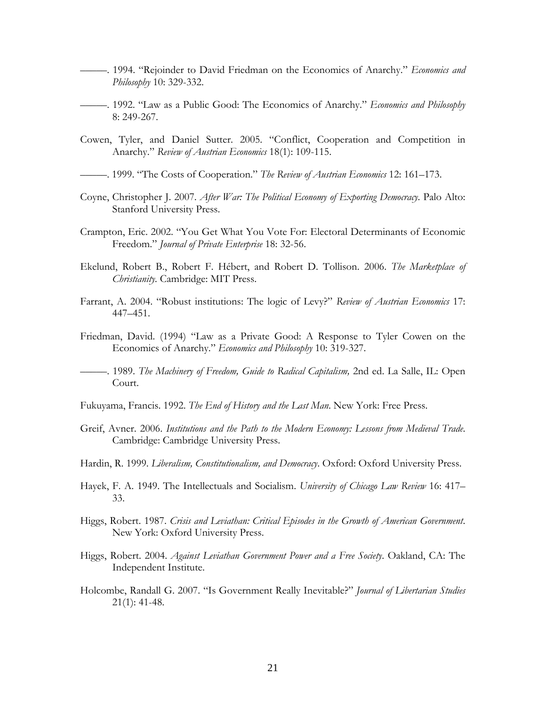- –––––. 1994. "Rejoinder to David Friedman on the Economics of Anarchy." *Economics and Philosophy* 10: 329-332.
- –––––. 1992. "Law as a Public Good: The Economics of Anarchy." *Economics and Philosophy* 8: 249-267.
- Cowen, Tyler, and Daniel Sutter. 2005. "Conflict, Cooperation and Competition in Anarchy." *Review of Austrian Economics* 18(1): 109-115.
- –––––. 1999. "The Costs of Cooperation." *The Review of Austrian Economics* 12: 161–173.
- Coyne, Christopher J. 2007. *After War: The Political Economy of Exporting Democracy*. Palo Alto: Stanford University Press.
- Crampton, Eric. 2002. "You Get What You Vote For: Electoral Determinants of Economic Freedom." *Journal of Private Enterprise* 18: 32-56.
- Ekelund, Robert B., Robert F. Hébert, and Robert D. Tollison. 2006. *The Marketplace of Christianity.* Cambridge: MIT Press.
- Farrant, A. 2004. "Robust institutions: The logic of Levy?" *Review of Austrian Economics* 17: 447–451.
- Friedman, David. (1994) "Law as a Private Good: A Response to Tyler Cowen on the Economics of Anarchy." *Economics and Philosophy* 10: 319-327.
- –––––. 1989. *The Machinery of Freedom, Guide to Radical Capitalism,* 2nd ed. La Salle, IL: Open Court.
- Fukuyama, Francis. 1992. *The End of History and the Last Man*. New York: Free Press.
- Greif, Avner. 2006. *Institutions and the Path to the Modern Economy: Lessons from Medieval Trade*. Cambridge: Cambridge University Press.
- Hardin, R. 1999. *Liberalism, Constitutionalism, and Democracy*. Oxford: Oxford University Press.
- Hayek, F. A. 1949. The Intellectuals and Socialism. *University of Chicago Law Review* 16: 417– 33.
- Higgs, Robert. 1987. *Crisis and Leviathan: Critical Episodes in the Growth of American Government*. New York: Oxford University Press.
- Higgs, Robert. 2004. *Against Leviathan Government Power and a Free Society*. Oakland, CA: The Independent Institute.
- Holcombe, Randall G. 2007. "Is Government Really Inevitable?" *Journal of Libertarian Studies*  21(1): 41-48.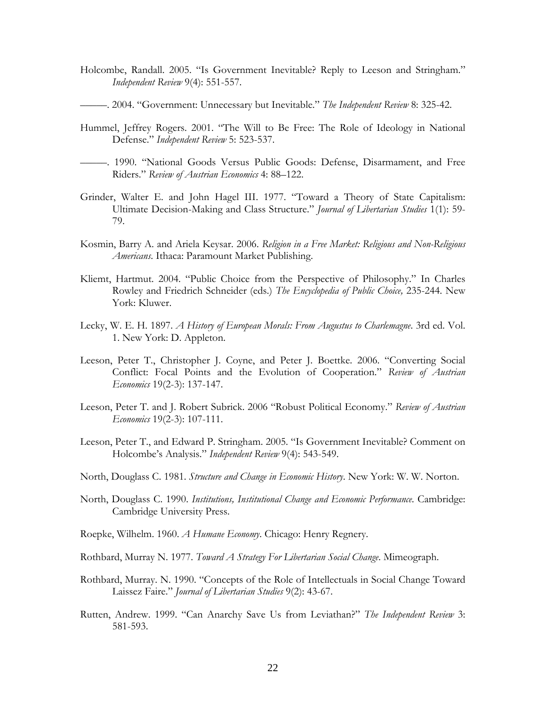- Holcombe, Randall. 2005. "Is Government Inevitable? Reply to Leeson and Stringham." *Independent Review* 9(4): 551-557.
- –––––. 2004. "Government: Unnecessary but Inevitable." *The Independent Review* 8: 325-42.
- Hummel, Jeffrey Rogers. 2001. "The Will to Be Free: The Role of Ideology in National Defense." *Independent Review* 5: 523-537.
- –––––. 1990. "National Goods Versus Public Goods: Defense, Disarmament, and Free Riders." *Review of Austrian Economics* 4: 88–122.
- Grinder, Walter E. and John Hagel III. 1977. "Toward a Theory of State Capitalism: Ultimate Decision-Making and Class Structure." *Journal of Libertarian Studies* 1(1): 59- 79.
- Kosmin, Barry A. and Ariela Keysar. 2006. *Religion in a Free Market: Religious and Non-Religious Americans*. Ithaca: Paramount Market Publishing.
- Kliemt, Hartmut. 2004. "Public Choice from the Perspective of Philosophy." In Charles Rowley and Friedrich Schneider (eds.) *The Encyclopedia of Public Choice,* 235-244. New York: Kluwer.
- Lecky, W. E. H. 1897. *A History of European Morals: From Augustus to Charlemagne*. 3rd ed. Vol. 1. New York: D. Appleton.
- Leeson, Peter T., Christopher J. Coyne, and Peter J. Boettke. 2006. "Converting Social Conflict: Focal Points and the Evolution of Cooperation." *Review of Austrian Economics* 19(2-3): 137-147.
- Leeson, Peter T. and J. Robert Subrick. 2006 "Robust Political Economy." *Review of Austrian Economics* 19(2-3): 107-111.
- Leeson, Peter T., and Edward P. Stringham. 2005. "Is Government Inevitable? Comment on Holcombe's Analysis." *Independent Review* 9(4): 543-549.
- North, Douglass C. 1981. *Structure and Change in Economic History*. New York: W. W. Norton.
- North, Douglass C. 1990. *Institutions, Institutional Change and Economic Performance*. Cambridge: Cambridge University Press.
- Roepke, Wilhelm. 1960. *A Humane Economy*. Chicago: Henry Regnery.
- Rothbard, Murray N. 1977. *Toward A Strategy For Libertarian Social Change*. Mimeograph.
- Rothbard, Murray. N. 1990. "Concepts of the Role of Intellectuals in Social Change Toward Laissez Faire." *Journal of Libertarian Studies* 9(2): 43-67.
- Rutten, Andrew. 1999. "Can Anarchy Save Us from Leviathan?" *The Independent Review* 3: 581-593.